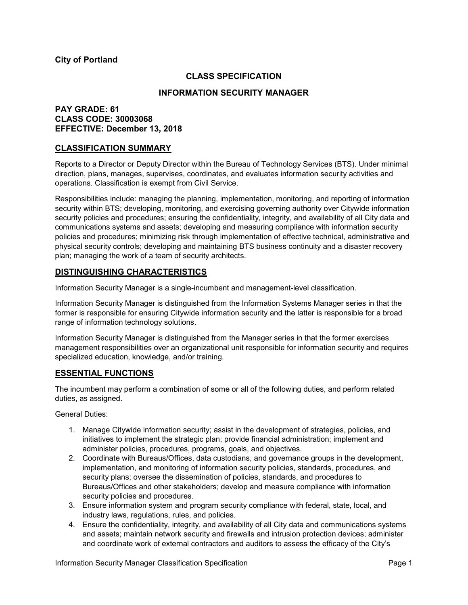## **City of Portland**

## **CLASS SPECIFICATION**

#### **INFORMATION SECURITY MANAGER**

## **PAY GRADE: 61 CLASS CODE: 30003068 EFFECTIVE: December 13, 2018**

### **CLASSIFICATION SUMMARY**

Reports to a Director or Deputy Director within the Bureau of Technology Services (BTS). Under minimal direction, plans, manages, supervises, coordinates, and evaluates information security activities and operations. Classification is exempt from Civil Service.

Responsibilities include: managing the planning, implementation, monitoring, and reporting of information security within BTS; developing, monitoring, and exercising governing authority over Citywide information security policies and procedures; ensuring the confidentiality, integrity, and availability of all City data and communications systems and assets; developing and measuring compliance with information security policies and procedures; minimizing risk through implementation of effective technical, administrative and physical security controls; developing and maintaining BTS business continuity and a disaster recovery plan; managing the work of a team of security architects.

### **DISTINGUISHING CHARACTERISTICS**

Information Security Manager is a single-incumbent and management-level classification.

Information Security Manager is distinguished from the Information Systems Manager series in that the former is responsible for ensuring Citywide information security and the latter is responsible for a broad range of information technology solutions.

Information Security Manager is distinguished from the Manager series in that the former exercises management responsibilities over an organizational unit responsible for information security and requires specialized education, knowledge, and/or training.

### **ESSENTIAL FUNCTIONS**

The incumbent may perform a combination of some or all of the following duties, and perform related duties, as assigned.

General Duties:

- 1. Manage Citywide information security; assist in the development of strategies, policies, and initiatives to implement the strategic plan; provide financial administration; implement and administer policies, procedures, programs, goals, and objectives.
- 2. Coordinate with Bureaus/Offices, data custodians, and governance groups in the development, implementation, and monitoring of information security policies, standards, procedures, and security plans; oversee the dissemination of policies, standards, and procedures to Bureaus/Offices and other stakeholders; develop and measure compliance with information security policies and procedures.
- 3. Ensure information system and program security compliance with federal, state, local, and industry laws, regulations, rules, and policies.
- 4. Ensure the confidentiality, integrity, and availability of all City data and communications systems and assets; maintain network security and firewalls and intrusion protection devices; administer and coordinate work of external contractors and auditors to assess the efficacy of the City's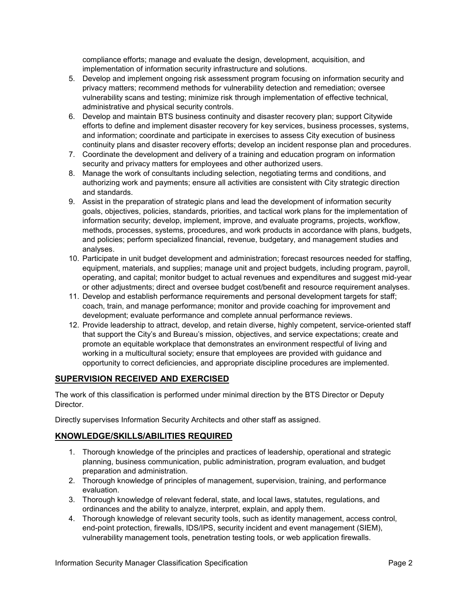compliance efforts; manage and evaluate the design, development, acquisition, and implementation of information security infrastructure and solutions.

- 5. Develop and implement ongoing risk assessment program focusing on information security and privacy matters; recommend methods for vulnerability detection and remediation; oversee vulnerability scans and testing; minimize risk through implementation of effective technical, administrative and physical security controls.
- 6. Develop and maintain BTS business continuity and disaster recovery plan; support Citywide efforts to define and implement disaster recovery for key services, business processes, systems, and information; coordinate and participate in exercises to assess City execution of business continuity plans and disaster recovery efforts; develop an incident response plan and procedures.
- 7. Coordinate the development and delivery of a training and education program on information security and privacy matters for employees and other authorized users.
- 8. Manage the work of consultants including selection, negotiating terms and conditions, and authorizing work and payments; ensure all activities are consistent with City strategic direction and standards.
- 9. Assist in the preparation of strategic plans and lead the development of information security goals, objectives, policies, standards, priorities, and tactical work plans for the implementation of information security; develop, implement, improve, and evaluate programs, projects, workflow, methods, processes, systems, procedures, and work products in accordance with plans, budgets, and policies; perform specialized financial, revenue, budgetary, and management studies and analyses.
- 10. Participate in unit budget development and administration; forecast resources needed for staffing, equipment, materials, and supplies; manage unit and project budgets, including program, payroll, operating, and capital; monitor budget to actual revenues and expenditures and suggest mid-year or other adjustments; direct and oversee budget cost/benefit and resource requirement analyses.
- 11. Develop and establish performance requirements and personal development targets for staff; coach, train, and manage performance; monitor and provide coaching for improvement and development; evaluate performance and complete annual performance reviews.
- 12. Provide leadership to attract, develop, and retain diverse, highly competent, service-oriented staff that support the City's and Bureau's mission, objectives, and service expectations; create and promote an equitable workplace that demonstrates an environment respectful of living and working in a multicultural society; ensure that employees are provided with guidance and opportunity to correct deficiencies, and appropriate discipline procedures are implemented.

# **SUPERVISION RECEIVED AND EXERCISED**

The work of this classification is performed under minimal direction by the BTS Director or Deputy Director.

Directly supervises Information Security Architects and other staff as assigned.

# **KNOWLEDGE/SKILLS/ABILITIES REQUIRED**

- 1. Thorough knowledge of the principles and practices of leadership, operational and strategic planning, business communication, public administration, program evaluation, and budget preparation and administration.
- 2. Thorough knowledge of principles of management, supervision, training, and performance evaluation.
- 3. Thorough knowledge of relevant federal, state, and local laws, statutes, regulations, and ordinances and the ability to analyze, interpret, explain, and apply them.
- 4. Thorough knowledge of relevant security tools, such as identity management, access control, end-point protection, firewalls, IDS/IPS, security incident and event management (SIEM), vulnerability management tools, penetration testing tools, or web application firewalls.